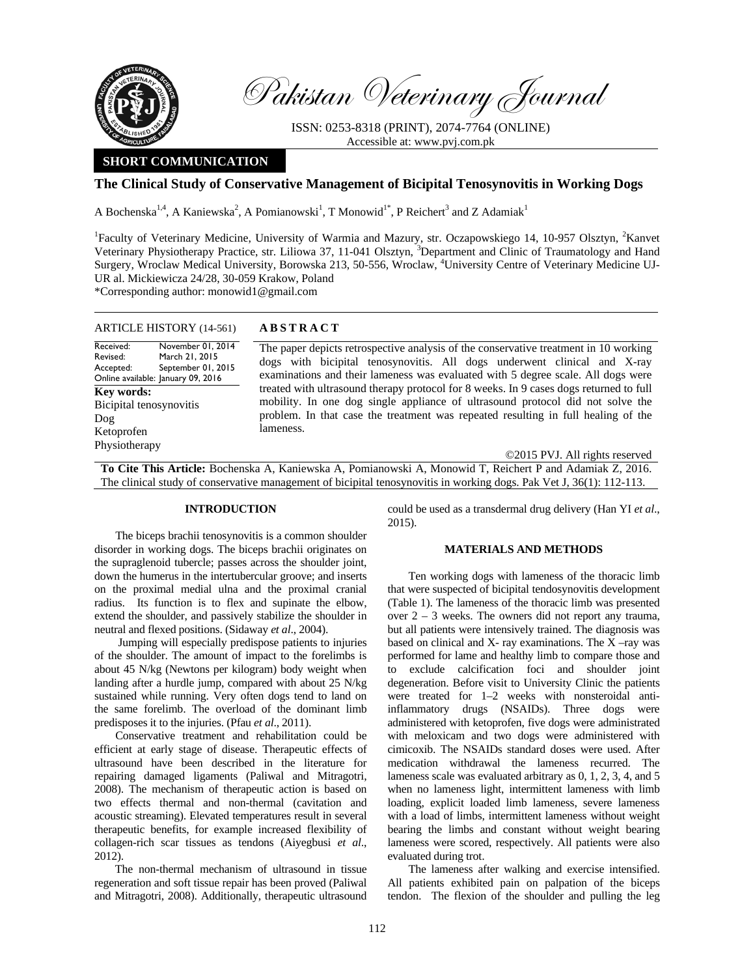

Pakistan Veterinary Journal

ISSN: 0253-8318 (PRINT), 2074-7764 (ONLINE) Accessible at: www.pvj.com.pk

# **SHORT COMMUNICATION**

## **The Clinical Study of Conservative Management of Bicipital Tenosynovitis in Working Dogs**

A Bochenska<sup>1,4</sup>, A Kaniewska<sup>2</sup>, A Pomianowski<sup>1</sup>, T Monowid<sup>1\*</sup>, P Reichert<sup>3</sup> and Z Adamiak<sup>1</sup>

<sup>1</sup>Faculty of Veterinary Medicine, University of Warmia and Mazury, str. Oczapowskiego 14, 10-957 Olsztyn, <sup>2</sup>Kanvet Veterinary Physiotherapy Practice, str. Liliowa 37, 11-041 Olsztyn, <sup>3</sup>Department and Clinic of Traumatology and Hand Surgery, Wroclaw Medical University, Borowska 213, 50-556, Wroclaw, <sup>4</sup>University Centre of Veterinary Medicine UJ-UR al. Mickiewicza 24/28, 30-059 Krakow, Poland

\*Corresponding author: monowid1@gmail.com

| <b>ARTICLE HISTORY</b> (14-561)                                                                                                       | <b>ABSTRACT</b>                                                                                                                                                                                                                                                            |  |  |  |  |
|---------------------------------------------------------------------------------------------------------------------------------------|----------------------------------------------------------------------------------------------------------------------------------------------------------------------------------------------------------------------------------------------------------------------------|--|--|--|--|
| Received:<br>November 01, 2014<br>March 21, 2015<br>Revised:<br>September 01, 2015<br>Accepted:<br>Online available: January 09, 2016 | The paper depicts retrospective analysis of the conservative treatment in 10 working<br>dogs with bicipital tenosynovitis. All dogs underwent clinical and X-ray<br>examinations and their lameness was evaluated with 5 degree scale. All dogs were                       |  |  |  |  |
| Key words:<br>Bicipital tenosynovitis<br>Dog<br>Ketoprofen                                                                            | treated with ultrasound therapy protocol for 8 weeks. In 9 cases dogs returned to full<br>mobility. In one dog single appliance of ultrasound protocol did not solve the<br>problem. In that case the treatment was repeated resulting in full healing of the<br>lameness. |  |  |  |  |
| Physiotherapy                                                                                                                         | ©2015 PVJ. All rights reserved                                                                                                                                                                                                                                             |  |  |  |  |
| <b>To Cite This Article:</b> Bochenska A, Kaniewska A, Pomianowski A, Monowid T, Reichert P and Adamiak Z, 2016.                      |                                                                                                                                                                                                                                                                            |  |  |  |  |

The clinical study of conservative management of bicipital tenosynovitis in working dogs. Pak Vet J, 36(1): 112-113.

### **INTRODUCTION**

The biceps brachii tenosynovitis is a common shoulder disorder in working dogs. The biceps brachii originates on the supraglenoid tubercle; passes across the shoulder joint, down the humerus in the intertubercular groove; and inserts on the proximal medial ulna and the proximal cranial radius. Its function is to flex and supinate the elbow, extend the shoulder, and passively stabilize the shoulder in neutral and flexed positions. (Sidaway *et al*., 2004).

 Jumping will especially predispose patients to injuries of the shoulder. The amount of impact to the forelimbs is about 45 N/kg (Newtons per kilogram) body weight when landing after a hurdle jump, compared with about 25 N/kg sustained while running. Very often dogs tend to land on the same forelimb. The overload of the dominant limb predisposes it to the injuries. (Pfau *et al*., 2011).

Conservative treatment and rehabilitation could be efficient at early stage of disease. Therapeutic effects of ultrasound have been described in the literature for repairing damaged ligaments (Paliwal and Mitragotri, 2008). The mechanism of therapeutic action is based on two effects thermal and non-thermal (cavitation and acoustic streaming). Elevated temperatures result in several therapeutic benefits, for example increased flexibility of collagen-rich scar tissues as tendons (Aiyegbusi *et al*., 2012).

The non-thermal mechanism of ultrasound in tissue regeneration and soft tissue repair has been proved (Paliwal and Mitragotri, 2008). Additionally, therapeutic ultrasound

could be used as a transdermal drug delivery (Han YI *et al*., 2015).

## **MATERIALS AND METHODS**

Ten working dogs with lameness of the thoracic limb that were suspected of bicipital tendosynovitis development (Table 1). The lameness of the thoracic limb was presented over  $2 - 3$  weeks. The owners did not report any trauma, but all patients were intensively trained. The diagnosis was based on clinical and  $X$ - ray examinations. The  $X$  –ray was performed for lame and healthy limb to compare those and to exclude calcification foci and shoulder joint degeneration. Before visit to University Clinic the patients were treated for 1–2 weeks with nonsteroidal antiinflammatory drugs (NSAIDs). Three dogs were administered with ketoprofen, five dogs were administrated with meloxicam and two dogs were administered with cimicoxib. The NSAIDs standard doses were used. After medication withdrawal the lameness recurred. The lameness scale was evaluated arbitrary as 0, 1, 2, 3, 4, and 5 when no lameness light, intermittent lameness with limb loading, explicit loaded limb lameness, severe lameness with a load of limbs, intermittent lameness without weight bearing the limbs and constant without weight bearing lameness were scored, respectively. All patients were also evaluated during trot.

The lameness after walking and exercise intensified. All patients exhibited pain on palpation of the biceps tendon. The flexion of the shoulder and pulling the leg